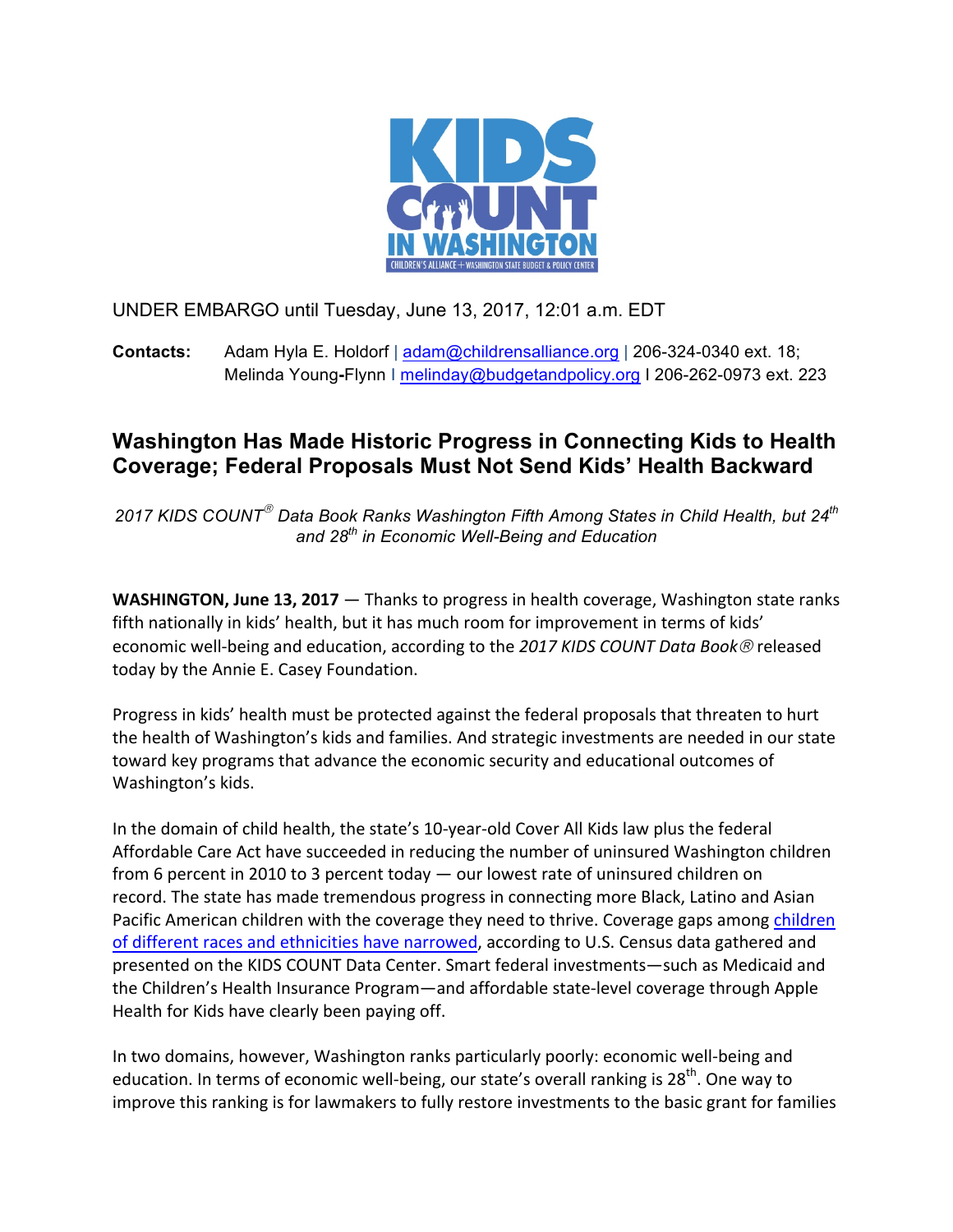

UNDER EMBARGO until Tuesday, June 13, 2017, 12:01 a.m. EDT

**Contacts:** Adam Hyla E. Holdorf | adam@childrensalliance.org | 206-324-0340 ext. 18; Melinda Young**-**Flynn I melinday@budgetandpolicy.org I 206-262-0973 ext. 223

## **Washington Has Made Historic Progress in Connecting Kids to Health Coverage; Federal Proposals Must Not Send Kids' Health Backward**

*2017 KIDS COUNT*<sup>â</sup> *Data Book Ranks Washington Fifth Among States in Child Health, but 24th and 28th in Economic Well-Being and Education*

**WASHINGTON, June 13, 2017** — Thanks to progress in health coverage, Washington state ranks fifth nationally in kids' health, but it has much room for improvement in terms of kids' economic well-being and education, according to the 2017 KIDS COUNT Data Book<sup>®</sup> released today by the Annie E. Casey Foundation.

Progress in kids' health must be protected against the federal proposals that threaten to hurt the health of Washington's kids and families. And strategic investments are needed in our state toward key programs that advance the economic security and educational outcomes of Washington's kids.

In the domain of child health, the state's 10-year-old Cover All Kids law plus the federal Affordable Care Act have succeeded in reducing the number of uninsured Washington children from 6 percent in 2010 to 3 percent today  $-$  our lowest rate of uninsured children on record. The state has made tremendous progress in connecting more Black, Latino and Asian Pacific American children with the coverage they need to thrive. Coverage gaps among children of different races and ethnicities have narrowed, according to U.S. Census data gathered and presented on the KIDS COUNT Data Center. Smart federal investments—such as Medicaid and the Children's Health Insurance Program—and affordable state-level coverage through Apple Health for Kids have clearly been paying off.

In two domains, however, Washington ranks particularly poorly: economic well-being and education. In terms of economic well-being, our state's overall ranking is 28<sup>th</sup>. One way to improve this ranking is for lawmakers to fully restore investments to the basic grant for families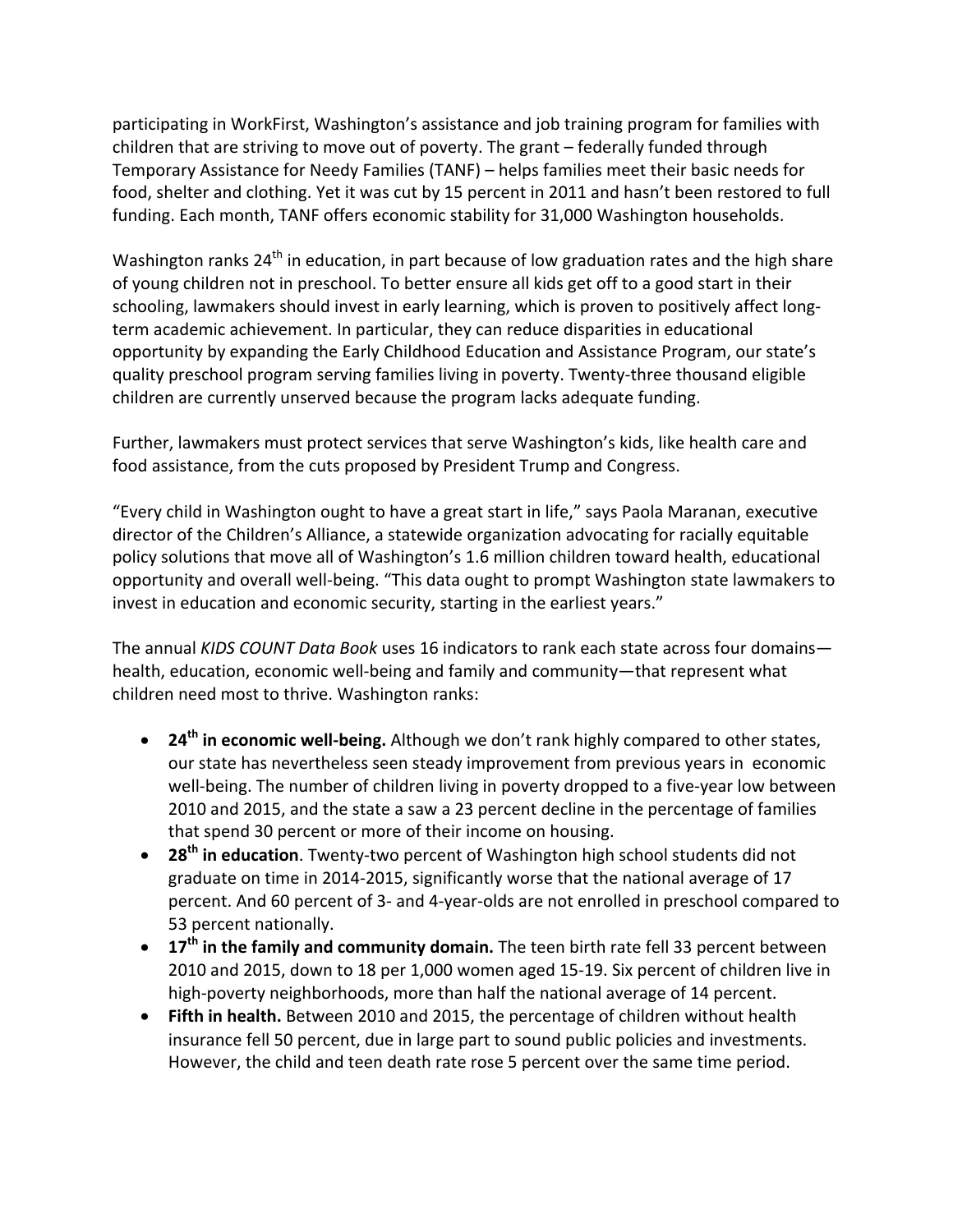participating in WorkFirst, Washington's assistance and job training program for families with children that are striving to move out of poverty. The grant – federally funded through Temporary Assistance for Needy Families (TANF) – helps families meet their basic needs for food, shelter and clothing. Yet it was cut by 15 percent in 2011 and hasn't been restored to full funding. Each month, TANF offers economic stability for 31,000 Washington households.

Washington ranks  $24<sup>th</sup>$  in education, in part because of low graduation rates and the high share of young children not in preschool. To better ensure all kids get off to a good start in their schooling, lawmakers should invest in early learning, which is proven to positively affect longterm academic achievement. In particular, they can reduce disparities in educational opportunity by expanding the Early Childhood Education and Assistance Program, our state's quality preschool program serving families living in poverty. Twenty-three thousand eligible children are currently unserved because the program lacks adequate funding.

Further, lawmakers must protect services that serve Washington's kids, like health care and food assistance, from the cuts proposed by President Trump and Congress.

"Every child in Washington ought to have a great start in life," says Paola Maranan, executive director of the Children's Alliance, a statewide organization advocating for racially equitable policy solutions that move all of Washington's 1.6 million children toward health, educational opportunity and overall well-being. "This data ought to prompt Washington state lawmakers to invest in education and economic security, starting in the earliest years."

The annual *KIDS COUNT Data Book* uses 16 indicators to rank each state across four domains health, education, economic well-being and family and community—that represent what children need most to thrive. Washington ranks:

- 24<sup>th</sup> in economic well-being. Although we don't rank highly compared to other states, our state has nevertheless seen steady improvement from previous years in economic well-being. The number of children living in poverty dropped to a five-year low between 2010 and 2015, and the state a saw a 23 percent decline in the percentage of families that spend 30 percent or more of their income on housing.
- 28<sup>th</sup> in education. Twenty-two percent of Washington high school students did not graduate on time in 2014-2015, significantly worse that the national average of 17 percent. And 60 percent of 3- and 4-year-olds are not enrolled in preschool compared to 53 percent nationally.
- 17<sup>th</sup> in the family and community domain. The teen birth rate fell 33 percent between 2010 and 2015, down to 18 per 1,000 women aged 15-19. Six percent of children live in high-poverty neighborhoods, more than half the national average of 14 percent.
- Fifth in health. Between 2010 and 2015, the percentage of children without health insurance fell 50 percent, due in large part to sound public policies and investments. However, the child and teen death rate rose 5 percent over the same time period.